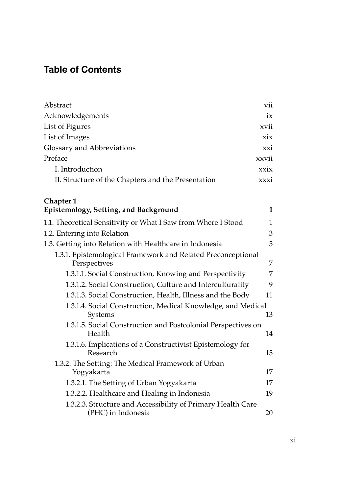## **Table of Contents**

| Abstract                                           | vii   |
|----------------------------------------------------|-------|
| Acknowledgements                                   | ix    |
| List of Figures                                    | xvii  |
| List of Images                                     | xix   |
| Glossary and Abbreviations                         | xxi   |
| Preface                                            | xxvii |
| I. Introduction                                    | xxix  |
| II. Structure of the Chapters and the Presentation | xxxi  |

## **Chapter 1**

| Epistemology, Setting, and Background                                             | 1  |
|-----------------------------------------------------------------------------------|----|
| 1.1. Theoretical Sensitivity or What I Saw from Where I Stood                     | 1  |
| 1.2. Entering into Relation                                                       | 3  |
| 1.3. Getting into Relation with Healthcare in Indonesia                           | 5  |
| 1.3.1. Epistemological Framework and Related Preconceptional<br>Perspectives      | 7  |
| 1.3.1.1. Social Construction, Knowing and Perspectivity                           | 7  |
| 1.3.1.2. Social Construction, Culture and Interculturality                        | 9  |
| 1.3.1.3. Social Construction, Health, Illness and the Body                        | 11 |
| 1.3.1.4. Social Construction, Medical Knowledge, and Medical<br>Systems           | 13 |
| 1.3.1.5. Social Construction and Postcolonial Perspectives on<br>Health           | 14 |
| 1.3.1.6. Implications of a Constructivist Epistemology for<br>Research            | 15 |
| 1.3.2. The Setting: The Medical Framework of Urban<br>Yogyakarta                  | 17 |
| 1.3.2.1. The Setting of Urban Yogyakarta                                          | 17 |
| 1.3.2.2. Healthcare and Healing in Indonesia                                      | 19 |
| 1.3.2.3. Structure and Accessibility of Primary Health Care<br>(PHC) in Indonesia | 20 |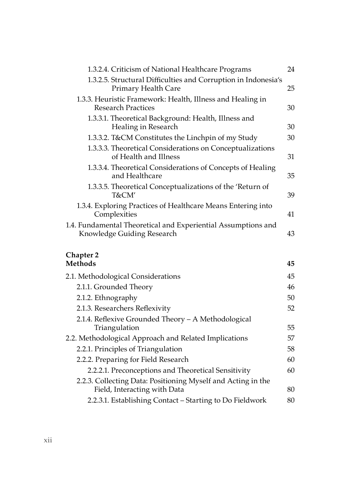| 1.3.2.4. Criticism of National Healthcare Programs                                          | 24 |
|---------------------------------------------------------------------------------------------|----|
| 1.3.2.5. Structural Difficulties and Corruption in Indonesia's<br>Primary Health Care       | 25 |
| 1.3.3. Heuristic Framework: Health, Illness and Healing in<br>Research Practices            | 30 |
| 1.3.3.1. Theoretical Background: Health, Illness and<br>Healing in Research                 | 30 |
| 1.3.3.2. T&CM Constitutes the Linchpin of my Study                                          | 30 |
| 1.3.3.3. Theoretical Considerations on Conceptualizations<br>of Health and Illness          | 31 |
| 1.3.3.4. Theoretical Considerations of Concepts of Healing<br>and Healthcare                | 35 |
| 1.3.3.5. Theoretical Conceptualizations of the 'Return of<br>T&CM'                          | 39 |
| 1.3.4. Exploring Practices of Healthcare Means Entering into<br>Complexities                | 41 |
| 1.4. Fundamental Theoretical and Experiential Assumptions and<br>Knowledge Guiding Research | 43 |
|                                                                                             |    |

## **Chapter 2**

| Methods                                                                                      | 45 |
|----------------------------------------------------------------------------------------------|----|
| 2.1. Methodological Considerations                                                           | 45 |
| 2.1.1. Grounded Theory                                                                       | 46 |
| 2.1.2. Ethnography                                                                           | 50 |
| 2.1.3. Researchers Reflexivity                                                               | 52 |
| 2.1.4. Reflexive Grounded Theory - A Methodological<br>Triangulation                         | 55 |
| 2.2. Methodological Approach and Related Implications                                        | 57 |
| 2.2.1. Principles of Triangulation                                                           | 58 |
| 2.2.2. Preparing for Field Research                                                          | 60 |
| 2.2.2.1. Preconceptions and Theoretical Sensitivity                                          | 60 |
| 2.2.3. Collecting Data: Positioning Myself and Acting in the<br>Field, Interacting with Data | 80 |
| 2.2.3.1. Establishing Contact – Starting to Do Fieldwork                                     | 80 |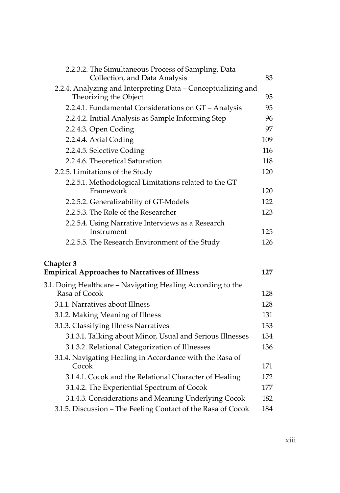| 2.2.3.2. The Simultaneous Process of Sampling, Data<br>Collection, and Data Analysis  | 83  |
|---------------------------------------------------------------------------------------|-----|
| 2.2.4. Analyzing and Interpreting Data - Conceptualizing and<br>Theorizing the Object | 95  |
| 2.2.4.1. Fundamental Considerations on GT - Analysis                                  | 95  |
| 2.2.4.2. Initial Analysis as Sample Informing Step                                    | 96  |
| 2.2.4.3. Open Coding                                                                  | 97  |
| 2.2.4.4. Axial Coding                                                                 | 109 |
| 2.2.4.5. Selective Coding                                                             | 116 |
| 2.2.4.6. Theoretical Saturation                                                       | 118 |
| 2.2.5. Limitations of the Study                                                       | 120 |
| 2.2.5.1. Methodological Limitations related to the GT<br>Framework                    | 120 |
| 2.2.5.2. Generalizability of GT-Models                                                | 122 |
| 2.2.5.3. The Role of the Researcher                                                   | 123 |
| 2.2.5.4. Using Narrative Interviews as a Research                                     |     |
| Instrument                                                                            | 125 |
| 2.2.5.5. The Research Environment of the Study                                        | 126 |
| Chapter 3                                                                             |     |
| <b>Empirical Approaches to Narratives of Illness</b>                                  | 127 |
| 3.1. Doing Healthcare – Navigating Healing According to the<br>Rasa of Cocok          | 128 |
| 3.1.1. Narratives about Illness                                                       | 128 |
|                                                                                       | 131 |
| 3.1.2. Making Meaning of Illness                                                      | 133 |
| 3.1.3. Classifying Illness Narratives                                                 | 134 |
| 3.1.3.1. Talking about Minor, Usual and Serious Illnesses                             | 136 |
| 3.1.3.2. Relational Categorization of Illnesses                                       |     |
| 3.1.4. Navigating Healing in Accordance with the Rasa of<br>Cocok                     | 171 |
| 3.1.4.1. Cocok and the Relational Character of Healing                                | 172 |
| 3.1.4.2. The Experiential Spectrum of Cocok                                           | 177 |
| 3.1.4.3. Considerations and Meaning Underlying Cocok                                  | 182 |
| 3.1.5. Discussion - The Feeling Contact of the Rasa of Cocok                          | 184 |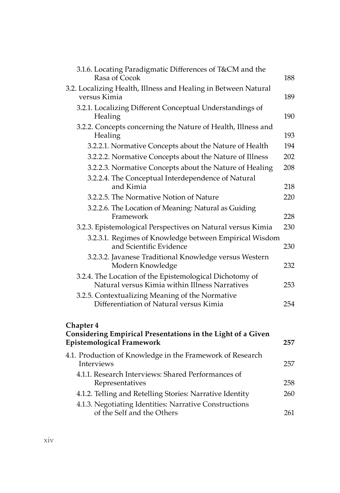| 3.1.6. Locating Paradigmatic Differences of T&CM and the<br>Rasa of Cocok                                 | 188 |
|-----------------------------------------------------------------------------------------------------------|-----|
| 3.2. Localizing Health, Illness and Healing in Between Natural<br>versus Kimia                            | 189 |
| 3.2.1. Localizing Different Conceptual Understandings of<br>Healing                                       | 190 |
| 3.2.2. Concepts concerning the Nature of Health, Illness and<br>Healing                                   | 193 |
| 3.2.2.1. Normative Concepts about the Nature of Health                                                    | 194 |
| 3.2.2.2. Normative Concepts about the Nature of Illness                                                   | 202 |
| 3.2.2.3. Normative Concepts about the Nature of Healing                                                   | 208 |
| 3.2.2.4. The Conceptual Interdependence of Natural                                                        |     |
| and Kimia                                                                                                 | 218 |
| 3.2.2.5. The Normative Notion of Nature                                                                   | 220 |
| 3.2.2.6. The Location of Meaning: Natural as Guiding<br>Framework                                         | 228 |
| 3.2.3. Epistemological Perspectives on Natural versus Kimia                                               | 230 |
| 3.2.3.1. Regimes of Knowledge between Empirical Wisdom<br>and Scientific Evidence                         | 230 |
| 3.2.3.2. Javanese Traditional Knowledge versus Western<br>Modern Knowledge                                | 232 |
| 3.2.4. The Location of the Epistemological Dichotomy of<br>Natural versus Kimia within Illness Narratives | 253 |
| 3.2.5. Contextualizing Meaning of the Normative                                                           |     |
| Differentiation of Natural versus Kimia                                                                   | 254 |
| Chapter 4<br>Considering Empirical Presentations in the Light of a Given                                  |     |
| <b>Epistemological Framework</b>                                                                          | 257 |
| 4.1. Production of Knowledge in the Framework of Research<br>Interviews                                   | 257 |
| 4.1.1. Research Interviews: Shared Performances of<br>Representatives                                     | 258 |
| 4.1.2. Telling and Retelling Stories: Narrative Identity                                                  | 260 |
| 4.1.3. Negotiating Identities: Narrative Constructions<br>of the Self and the Others                      | 261 |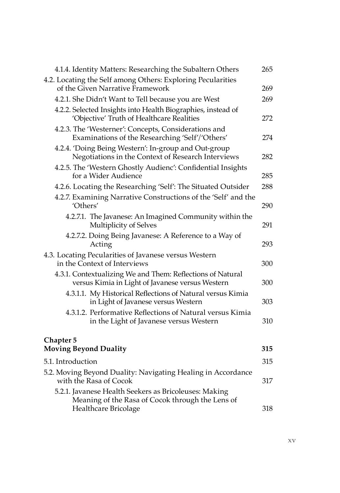| 4.1.4. Identity Matters: Researching the Subaltern Others                                                      | 265 |
|----------------------------------------------------------------------------------------------------------------|-----|
| 4.2. Locating the Self among Others: Exploring Pecularities<br>of the Given Narrative Framework                | 269 |
| 4.2.1. She Didn't Want to Tell because you are West                                                            | 269 |
| 4.2.2. Selected Insights into Health Biographies, instead of<br>'Objective' Truth of Healthcare Realities      | 272 |
| 4.2.3. The 'Westerner': Concepts, Considerations and<br>Examinations of the Researching 'Self'/'Others'        | 274 |
| 4.2.4. 'Doing Being Western': In-group and Out-group<br>Negotiations in the Context of Research Interviews     | 282 |
| 4.2.5. The 'Western Ghostly Audienc': Confidential Insights<br>for a Wider Audience                            | 285 |
| 4.2.6. Locating the Researching 'Self': The Situated Outsider                                                  | 288 |
| 4.2.7. Examining Narrative Constructions of the 'Self' and the<br>'Others'                                     | 290 |
| 4.2.7.1. The Javanese: An Imagined Community within the<br>Multiplicity of Selves                              | 291 |
| 4.2.7.2. Doing Being Javanese: A Reference to a Way of<br>Acting                                               | 293 |
| 4.3. Locating Pecularities of Javanese versus Western<br>in the Context of Interviews                          | 300 |
| 4.3.1. Contextualizing We and Them: Reflections of Natural<br>versus Kimia in Light of Javanese versus Western | 300 |
| 4.3.1.1. My Historical Reflections of Natural versus Kimia<br>in Light of Javanese versus Western              | 303 |
| 4.3.1.2. Performative Reflections of Natural versus Kimia<br>in the Light of Javanese versus Western           | 310 |
| <b>Chapter 5</b>                                                                                               |     |
| <b>Moving Beyond Duality</b>                                                                                   | 315 |
| 5.1. Introduction                                                                                              | 315 |
| 5.2. Moving Beyond Duality: Navigating Healing in Accordance<br>with the Rasa of Cocok                         | 317 |
| 5.2.1. Javanese Health Seekers as Bricoleuses: Making<br>Meaning of the Rasa of Cocok through the Lens of      |     |
| Healthcare Bricolage                                                                                           | 318 |